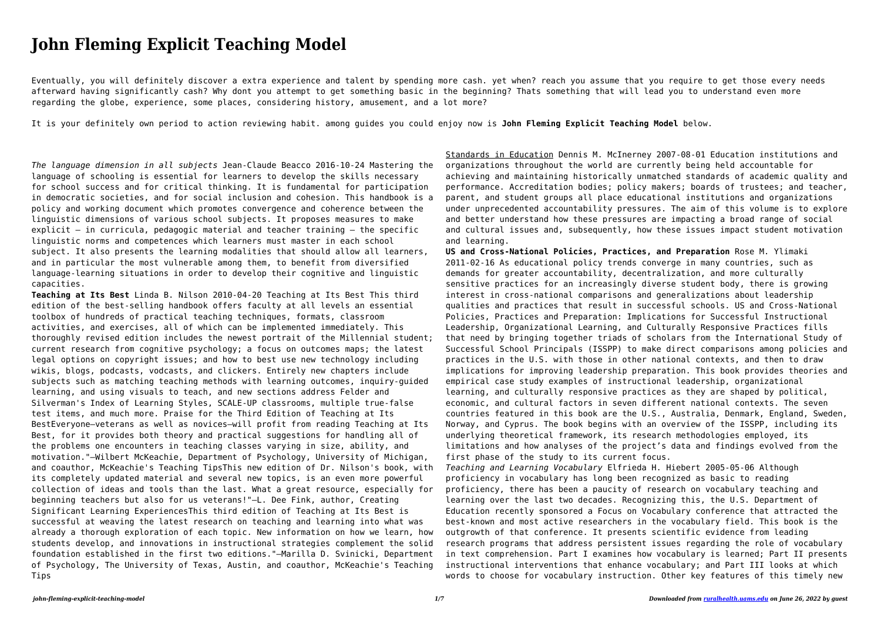## **John Fleming Explicit Teaching Model**

Eventually, you will definitely discover a extra experience and talent by spending more cash. yet when? reach you assume that you require to get those every needs afterward having significantly cash? Why dont you attempt to get something basic in the beginning? Thats something that will lead you to understand even more regarding the globe, experience, some places, considering history, amusement, and a lot more?

It is your definitely own period to action reviewing habit. among guides you could enjoy now is **John Fleming Explicit Teaching Model** below.

*The language dimension in all subjects* Jean-Claude Beacco 2016-10-24 Mastering the language of schooling is essential for learners to develop the skills necessary for school success and for critical thinking. It is fundamental for participation in democratic societies, and for social inclusion and cohesion. This handbook is a policy and working document which promotes convergence and coherence between the linguistic dimensions of various school subjects. It proposes measures to make explicit – in curricula, pedagogic material and teacher training – the specific linguistic norms and competences which learners must master in each school subject. It also presents the learning modalities that should allow all learners, and in particular the most vulnerable among them, to benefit from diversified language-learning situations in order to develop their cognitive and linguistic capacities.

**Teaching at Its Best** Linda B. Nilson 2010-04-20 Teaching at Its Best This third edition of the best-selling handbook offers faculty at all levels an essential toolbox of hundreds of practical teaching techniques, formats, classroom activities, and exercises, all of which can be implemented immediately. This thoroughly revised edition includes the newest portrait of the Millennial student; current research from cognitive psychology; a focus on outcomes maps; the latest legal options on copyright issues; and how to best use new technology including wikis, blogs, podcasts, vodcasts, and clickers. Entirely new chapters include subjects such as matching teaching methods with learning outcomes, inquiry-guided learning, and using visuals to teach, and new sections address Felder and Silverman's Index of Learning Styles, SCALE-UP classrooms, multiple true-false test items, and much more. Praise for the Third Edition of Teaching at Its BestEveryone—veterans as well as novices—will profit from reading Teaching at Its Best, for it provides both theory and practical suggestions for handling all of the problems one encounters in teaching classes varying in size, ability, and motivation."—Wilbert McKeachie, Department of Psychology, University of Michigan, and coauthor, McKeachie's Teaching TipsThis new edition of Dr. Nilson's book, with its completely updated material and several new topics, is an even more powerful collection of ideas and tools than the last. What a great resource, especially for beginning teachers but also for us veterans!"—L. Dee Fink, author, Creating Significant Learning ExperiencesThis third edition of Teaching at Its Best is successful at weaving the latest research on teaching and learning into what was already a thorough exploration of each topic. New information on how we learn, how students develop, and innovations in instructional strategies complement the solid foundation established in the first two editions."—Marilla D. Svinicki, Department of Psychology, The University of Texas, Austin, and coauthor, McKeachie's Teaching Tips

Standards in Education Dennis M. McInerney 2007-08-01 Education institutions and organizations throughout the world are currently being held accountable for achieving and maintaining historically unmatched standards of academic quality and performance. Accreditation bodies; policy makers; boards of trustees; and teacher, parent, and student groups all place educational institutions and organizations under unprecedented accountability pressures. The aim of this volume is to explore and better understand how these pressures are impacting a broad range of social and cultural issues and, subsequently, how these issues impact student motivation and learning.

**US and Cross-National Policies, Practices, and Preparation** Rose M. Ylimaki 2011-02-16 As educational policy trends converge in many countries, such as demands for greater accountability, decentralization, and more culturally sensitive practices for an increasingly diverse student body, there is growing interest in cross-national comparisons and generalizations about leadership qualities and practices that result in successful schools. US and Cross-National Policies, Practices and Preparation: Implications for Successful Instructional Leadership, Organizational Learning, and Culturally Responsive Practices fills that need by bringing together triads of scholars from the International Study of Successful School Principals (ISSPP) to make direct comparisons among policies and practices in the U.S. with those in other national contexts, and then to draw implications for improving leadership preparation. This book provides theories and empirical case study examples of instructional leadership, organizational learning, and culturally responsive practices as they are shaped by political, economic, and cultural factors in seven different national contexts. The seven countries featured in this book are the U.S., Australia, Denmark, England, Sweden, Norway, and Cyprus. The book begins with an overview of the ISSPP, including its underlying theoretical framework, its research methodologies employed, its limitations and how analyses of the project's data and findings evolved from the first phase of the study to its current focus. *Teaching and Learning Vocabulary* Elfrieda H. Hiebert 2005-05-06 Although proficiency in vocabulary has long been recognized as basic to reading proficiency, there has been a paucity of research on vocabulary teaching and learning over the last two decades. Recognizing this, the U.S. Department of Education recently sponsored a Focus on Vocabulary conference that attracted the best-known and most active researchers in the vocabulary field. This book is the outgrowth of that conference. It presents scientific evidence from leading research programs that address persistent issues regarding the role of vocabulary in text comprehension. Part I examines how vocabulary is learned; Part II presents instructional interventions that enhance vocabulary; and Part III looks at which words to choose for vocabulary instruction. Other key features of this timely new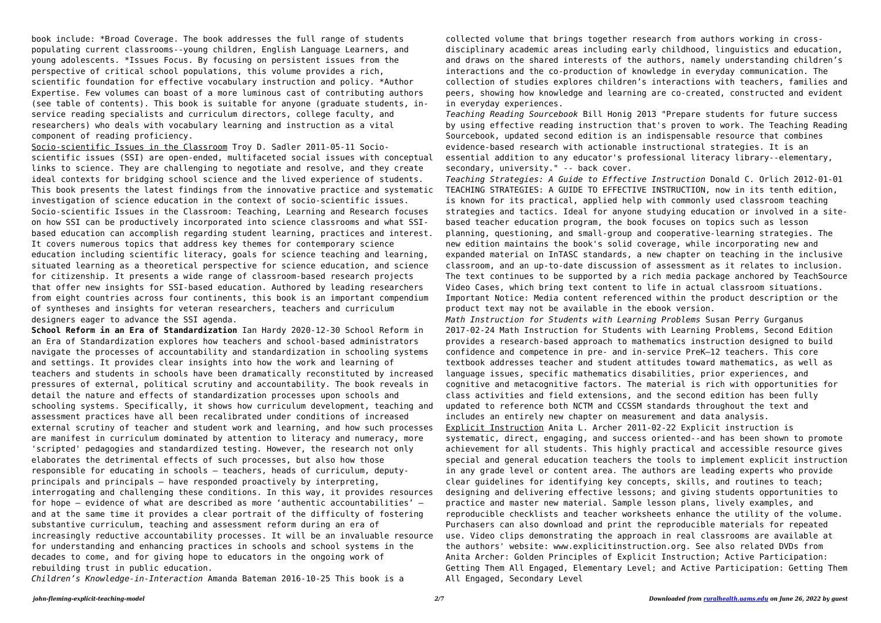book include: \*Broad Coverage. The book addresses the full range of students populating current classrooms--young children, English Language Learners, and young adolescents. \*Issues Focus. By focusing on persistent issues from the perspective of critical school populations, this volume provides a rich, scientific foundation for effective vocabulary instruction and policy. \*Author Expertise. Few volumes can boast of a more luminous cast of contributing authors (see table of contents). This book is suitable for anyone (graduate students, inservice reading specialists and curriculum directors, college faculty, and researchers) who deals with vocabulary learning and instruction as a vital component of reading proficiency.

Socio-scientific Issues in the Classroom Troy D. Sadler 2011-05-11 Socioscientific issues (SSI) are open-ended, multifaceted social issues with conceptual links to science. They are challenging to negotiate and resolve, and they create ideal contexts for bridging school science and the lived experience of students. This book presents the latest findings from the innovative practice and systematic investigation of science education in the context of socio-scientific issues. Socio-scientific Issues in the Classroom: Teaching, Learning and Research focuses on how SSI can be productively incorporated into science classrooms and what SSIbased education can accomplish regarding student learning, practices and interest. It covers numerous topics that address key themes for contemporary science education including scientific literacy, goals for science teaching and learning, situated learning as a theoretical perspective for science education, and science for citizenship. It presents a wide range of classroom-based research projects that offer new insights for SSI-based education. Authored by leading researchers from eight countries across four continents, this book is an important compendium of syntheses and insights for veteran researchers, teachers and curriculum designers eager to advance the SSI agenda.

**School Reform in an Era of Standardization** Ian Hardy 2020-12-30 School Reform in an Era of Standardization explores how teachers and school-based administrators navigate the processes of accountability and standardization in schooling systems and settings. It provides clear insights into how the work and learning of teachers and students in schools have been dramatically reconstituted by increased pressures of external, political scrutiny and accountability. The book reveals in detail the nature and effects of standardization processes upon schools and schooling systems. Specifically, it shows how curriculum development, teaching and assessment practices have all been recalibrated under conditions of increased external scrutiny of teacher and student work and learning, and how such processes are manifest in curriculum dominated by attention to literacy and numeracy, more 'scripted' pedagogies and standardized testing. However, the research not only elaborates the detrimental effects of such processes, but also how those responsible for educating in schools – teachers, heads of curriculum, deputyprincipals and principals – have responded proactively by interpreting, interrogating and challenging these conditions. In this way, it provides resources for hope – evidence of what are described as more 'authentic accountabilities' – and at the same time it provides a clear portrait of the difficulty of fostering substantive curriculum, teaching and assessment reform during an era of increasingly reductive accountability processes. It will be an invaluable resource for understanding and enhancing practices in schools and school systems in the decades to come, and for giving hope to educators in the ongoing work of rebuilding trust in public education.

*Children's Knowledge-in-Interaction* Amanda Bateman 2016-10-25 This book is a

collected volume that brings together research from authors working in crossdisciplinary academic areas including early childhood, linguistics and education, and draws on the shared interests of the authors, namely understanding children's interactions and the co-production of knowledge in everyday communication. The collection of studies explores children's interactions with teachers, families and peers, showing how knowledge and learning are co-created, constructed and evident in everyday experiences.

*Teaching Reading Sourcebook* Bill Honig 2013 "Prepare students for future success by using effective reading instruction that's proven to work. The Teaching Reading Sourcebook, updated second edition is an indispensable resource that combines evidence-based research with actionable instructional strategies. It is an essential addition to any educator's professional literacy library--elementary, secondary, university." -- back cover.

*Teaching Strategies: A Guide to Effective Instruction* Donald C. Orlich 2012-01-01 TEACHING STRATEGIES: A GUIDE TO EFFECTIVE INSTRUCTION, now in its tenth edition, is known for its practical, applied help with commonly used classroom teaching strategies and tactics. Ideal for anyone studying education or involved in a sitebased teacher education program, the book focuses on topics such as lesson planning, questioning, and small-group and cooperative-learning strategies. The new edition maintains the book's solid coverage, while incorporating new and expanded material on InTASC standards, a new chapter on teaching in the inclusive classroom, and an up-to-date discussion of assessment as it relates to inclusion. The text continues to be supported by a rich media package anchored by TeachSource Video Cases, which bring text content to life in actual classroom situations. Important Notice: Media content referenced within the product description or the product text may not be available in the ebook version. *Math Instruction for Students with Learning Problems* Susan Perry Gurganus 2017-02-24 Math Instruction for Students with Learning Problems, Second Edition provides a research-based approach to mathematics instruction designed to build confidence and competence in pre- and in-service PreK–12 teachers. This core textbook addresses teacher and student attitudes toward mathematics, as well as language issues, specific mathematics disabilities, prior experiences, and cognitive and metacognitive factors. The material is rich with opportunities for class activities and field extensions, and the second edition has been fully updated to reference both NCTM and CCSSM standards throughout the text and includes an entirely new chapter on measurement and data analysis. Explicit Instruction Anita L. Archer 2011-02-22 Explicit instruction is systematic, direct, engaging, and success oriented--and has been shown to promote achievement for all students. This highly practical and accessible resource gives special and general education teachers the tools to implement explicit instruction in any grade level or content area. The authors are leading experts who provide clear guidelines for identifying key concepts, skills, and routines to teach; designing and delivering effective lessons; and giving students opportunities to practice and master new material. Sample lesson plans, lively examples, and reproducible checklists and teacher worksheets enhance the utility of the volume. Purchasers can also download and print the reproducible materials for repeated use. Video clips demonstrating the approach in real classrooms are available at the authors' website: www.explicitinstruction.org. See also related DVDs from Anita Archer: Golden Principles of Explicit Instruction; Active Participation: Getting Them All Engaged, Elementary Level; and Active Participation: Getting Them All Engaged, Secondary Level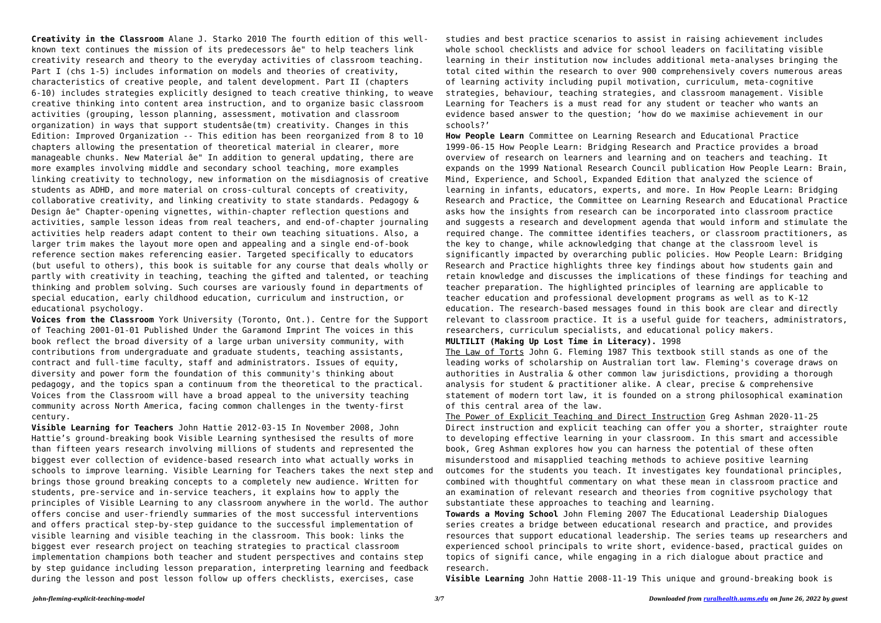**Creativity in the Classroom** Alane J. Starko 2010 The fourth edition of this wellknown text continues the mission of its predecessors âe" to help teachers link creativity research and theory to the everyday activities of classroom teaching. Part I (chs 1-5) includes information on models and theories of creativity, characteristics of creative people, and talent development. Part II (chapters 6-10) includes strategies explicitly designed to teach creative thinking, to weave creative thinking into content area instruction, and to organize basic classroom activities (grouping, lesson planning, assessment, motivation and classroom organization) in ways that support studentsâe(tm) creativity. Changes in this Edition: Improved Organization -- This edition has been reorganized from 8 to 10 chapters allowing the presentation of theoretical material in clearer, more manageable chunks. New Material âe" In addition to general updating, there are more examples involving middle and secondary school teaching, more examples linking creativity to technology, new information on the misdiagnosis of creative students as ADHD, and more material on cross-cultural concepts of creativity, collaborative creativity, and linking creativity to state standards. Pedagogy & Design âe" Chapter-opening vignettes, within-chapter reflection questions and activities, sample lesson ideas from real teachers, and end-of-chapter journaling activities help readers adapt content to their own teaching situations. Also, a larger trim makes the layout more open and appealing and a single end-of-book reference section makes referencing easier. Targeted specifically to educators (but useful to others), this book is suitable for any course that deals wholly or partly with creativity in teaching, teaching the gifted and talented, or teaching thinking and problem solving. Such courses are variously found in departments of special education, early childhood education, curriculum and instruction, or educational psychology.

**Voices from the Classroom** York University (Toronto, Ont.). Centre for the Support of Teaching 2001-01-01 Published Under the Garamond Imprint The voices in this book reflect the broad diversity of a large urban university community, with contributions from undergraduate and graduate students, teaching assistants, contract and full-time faculty, staff and administrators. Issues of equity, diversity and power form the foundation of this community's thinking about pedagogy, and the topics span a continuum from the theoretical to the practical. Voices from the Classroom will have a broad appeal to the university teaching community across North America, facing common challenges in the twenty-first century.

**Visible Learning for Teachers** John Hattie 2012-03-15 In November 2008, John Hattie's ground-breaking book Visible Learning synthesised the results of more than fifteen years research involving millions of students and represented the biggest ever collection of evidence-based research into what actually works in schools to improve learning. Visible Learning for Teachers takes the next step and brings those ground breaking concepts to a completely new audience. Written for students, pre-service and in-service teachers, it explains how to apply the principles of Visible Learning to any classroom anywhere in the world. The author offers concise and user-friendly summaries of the most successful interventions and offers practical step-by-step guidance to the successful implementation of visible learning and visible teaching in the classroom. This book: links the biggest ever research project on teaching strategies to practical classroom implementation champions both teacher and student perspectives and contains step by step guidance including lesson preparation, interpreting learning and feedback during the lesson and post lesson follow up offers checklists, exercises, case

studies and best practice scenarios to assist in raising achievement includes whole school checklists and advice for school leaders on facilitating visible learning in their institution now includes additional meta-analyses bringing the total cited within the research to over 900 comprehensively covers numerous areas of learning activity including pupil motivation, curriculum, meta-cognitive strategies, behaviour, teaching strategies, and classroom management. Visible Learning for Teachers is a must read for any student or teacher who wants an evidence based answer to the question; 'how do we maximise achievement in our schools?'

**How People Learn** Committee on Learning Research and Educational Practice 1999-06-15 How People Learn: Bridging Research and Practice provides a broad overview of research on learners and learning and on teachers and teaching. It expands on the 1999 National Research Council publication How People Learn: Brain, Mind, Experience, and School, Expanded Edition that analyzed the science of learning in infants, educators, experts, and more. In How People Learn: Bridging Research and Practice, the Committee on Learning Research and Educational Practice asks how the insights from research can be incorporated into classroom practice and suggests a research and development agenda that would inform and stimulate the required change. The committee identifies teachers, or classroom practitioners, as the key to change, while acknowledging that change at the classroom level is significantly impacted by overarching public policies. How People Learn: Bridging Research and Practice highlights three key findings about how students gain and retain knowledge and discusses the implications of these findings for teaching and teacher preparation. The highlighted principles of learning are applicable to teacher education and professional development programs as well as to K-12 education. The research-based messages found in this book are clear and directly relevant to classroom practice. It is a useful guide for teachers, administrators, researchers, curriculum specialists, and educational policy makers. **MULTILIT (Making Up Lost Time in Literacy).** 1998 The Law of Torts John G. Fleming 1987 This textbook still stands as one of the leading works of scholarship on Australian tort law. Fleming's coverage draws on authorities in Australia & other common law jurisdictions, providing a thorough analysis for student & practitioner alike. A clear, precise & comprehensive statement of modern tort law, it is founded on a strong philosophical examination of this central area of the law.

The Power of Explicit Teaching and Direct Instruction Greg Ashman 2020-11-25 Direct instruction and explicit teaching can offer you a shorter, straighter route to developing effective learning in your classroom. In this smart and accessible book, Greg Ashman explores how you can harness the potential of these often misunderstood and misapplied teaching methods to achieve positive learning outcomes for the students you teach. It investigates key foundational principles, combined with thoughtful commentary on what these mean in classroom practice and an examination of relevant research and theories from cognitive psychology that substantiate these approaches to teaching and learning. **Towards a Moving School** John Fleming 2007 The Educational Leadership Dialogues series creates a bridge between educational research and practice, and provides resources that support educational leadership. The series teams up researchers and experienced school principals to write short, evidence-based, practical guides on topics of signifi cance, while engaging in a rich dialogue about practice and research.

**Visible Learning** John Hattie 2008-11-19 This unique and ground-breaking book is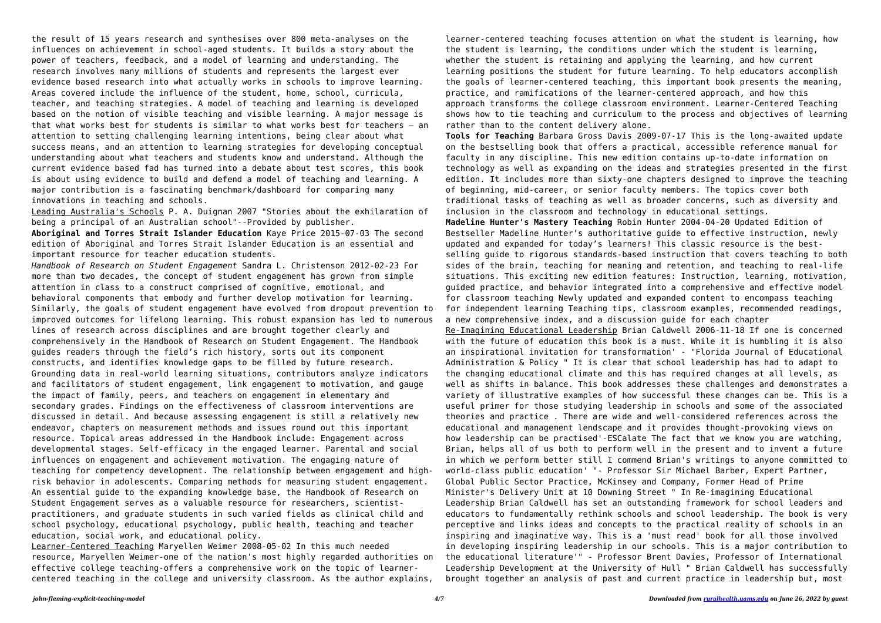the result of 15 years research and synthesises over 800 meta-analyses on the influences on achievement in school-aged students. It builds a story about the power of teachers, feedback, and a model of learning and understanding. The research involves many millions of students and represents the largest ever evidence based research into what actually works in schools to improve learning. Areas covered include the influence of the student, home, school, curricula, teacher, and teaching strategies. A model of teaching and learning is developed based on the notion of visible teaching and visible learning. A major message is that what works best for students is similar to what works best for teachers – an attention to setting challenging learning intentions, being clear about what success means, and an attention to learning strategies for developing conceptual understanding about what teachers and students know and understand. Although the current evidence based fad has turned into a debate about test scores, this book is about using evidence to build and defend a model of teaching and learning. A major contribution is a fascinating benchmark/dashboard for comparing many innovations in teaching and schools.

Leading Australia's Schools P. A. Duignan 2007 "Stories about the exhilaration of being a principal of an Australian school"--Provided by publisher.

**Aboriginal and Torres Strait Islander Education** Kaye Price 2015-07-03 The second edition of Aboriginal and Torres Strait Islander Education is an essential and important resource for teacher education students.

*Handbook of Research on Student Engagement* Sandra L. Christenson 2012-02-23 For more than two decades, the concept of student engagement has grown from simple attention in class to a construct comprised of cognitive, emotional, and behavioral components that embody and further develop motivation for learning. Similarly, the goals of student engagement have evolved from dropout prevention to improved outcomes for lifelong learning. This robust expansion has led to numerous lines of research across disciplines and are brought together clearly and comprehensively in the Handbook of Research on Student Engagement. The Handbook guides readers through the field's rich history, sorts out its component constructs, and identifies knowledge gaps to be filled by future research. Grounding data in real-world learning situations, contributors analyze indicators and facilitators of student engagement, link engagement to motivation, and gauge the impact of family, peers, and teachers on engagement in elementary and secondary grades. Findings on the effectiveness of classroom interventions are discussed in detail. And because assessing engagement is still a relatively new endeavor, chapters on measurement methods and issues round out this important resource. Topical areas addressed in the Handbook include: Engagement across developmental stages. Self-efficacy in the engaged learner. Parental and social influences on engagement and achievement motivation. The engaging nature of teaching for competency development. The relationship between engagement and highrisk behavior in adolescents. Comparing methods for measuring student engagement. An essential guide to the expanding knowledge base, the Handbook of Research on Student Engagement serves as a valuable resource for researchers, scientistpractitioners, and graduate students in such varied fields as clinical child and school psychology, educational psychology, public health, teaching and teacher education, social work, and educational policy.

Learner-Centered Teaching Maryellen Weimer 2008-05-02 In this much needed resource, Maryellen Weimer-one of the nation's most highly regarded authorities on effective college teaching-offers a comprehensive work on the topic of learnercentered teaching in the college and university classroom. As the author explains,

learner-centered teaching focuses attention on what the student is learning, how the student is learning, the conditions under which the student is learning, whether the student is retaining and applying the learning, and how current learning positions the student for future learning. To help educators accomplish the goals of learner-centered teaching, this important book presents the meaning, practice, and ramifications of the learner-centered approach, and how this approach transforms the college classroom environment. Learner-Centered Teaching shows how to tie teaching and curriculum to the process and objectives of learning rather than to the content delivery alone.

**Tools for Teaching** Barbara Gross Davis 2009-07-17 This is the long-awaited update on the bestselling book that offers a practical, accessible reference manual for faculty in any discipline. This new edition contains up-to-date information on technology as well as expanding on the ideas and strategies presented in the first edition. It includes more than sixty-one chapters designed to improve the teaching of beginning, mid-career, or senior faculty members. The topics cover both traditional tasks of teaching as well as broader concerns, such as diversity and inclusion in the classroom and technology in educational settings. **Madeline Hunter's Mastery Teaching** Robin Hunter 2004-04-20 Updated Edition of Bestseller Madeline Hunter's authoritative guide to effective instruction, newly updated and expanded for today's learners! This classic resource is the bestselling guide to rigorous standards-based instruction that covers teaching to both sides of the brain, teaching for meaning and retention, and teaching to real-life situations. This exciting new edition features: Instruction, learning, motivation, guided practice, and behavior integrated into a comprehensive and effective model for classroom teaching Newly updated and expanded content to encompass teaching for independent learning Teaching tips, classroom examples, recommended readings, a new comprehensive index, and a discussion guide for each chapter Re-Imagining Educational Leadership Brian Caldwell 2006-11-18 If one is concerned with the future of education this book is a must. While it is humbling it is also an inspirational invitation for transformation' - "Florida Journal of Educational Administration & Policy " It is clear that school leadership has had to adapt to the changing educational climate and this has required changes at all levels, as well as shifts in balance. This book addresses these challenges and demonstrates a variety of illustrative examples of how successful these changes can be. This is a useful primer for those studying leadership in schools and some of the associated theories and practice . There are wide and well-considered references across the educational and management lendscape and it provides thought-provoking views on how leadership can be practised'-ESCalate The fact that we know you are watching, Brian, helps all of us both to perform well in the present and to invent a future in which we perform better still I commend Brian's writings to anyone committed to world-class public education' "- Professor Sir Michael Barber, Expert Partner, Global Public Sector Practice, McKinsey and Company, Former Head of Prime Minister's Delivery Unit at 10 Downing Street " In Re-imagining Educational Leadership Brian Caldwell has set an outstanding framework for school leaders and educators to fundamentally rethink schools and school leadership. The book is very perceptive and links ideas and concepts to the practical reality of schools in an inspiring and imaginative way. This is a 'must read' book for all those involved in developing inspiring leadership in our schools. This is a major contribution to the educational literature'" - Professor Brent Davies, Professor of International Leadership Development at the University of Hull " Brian Caldwell has successfully brought together an analysis of past and current practice in leadership but, most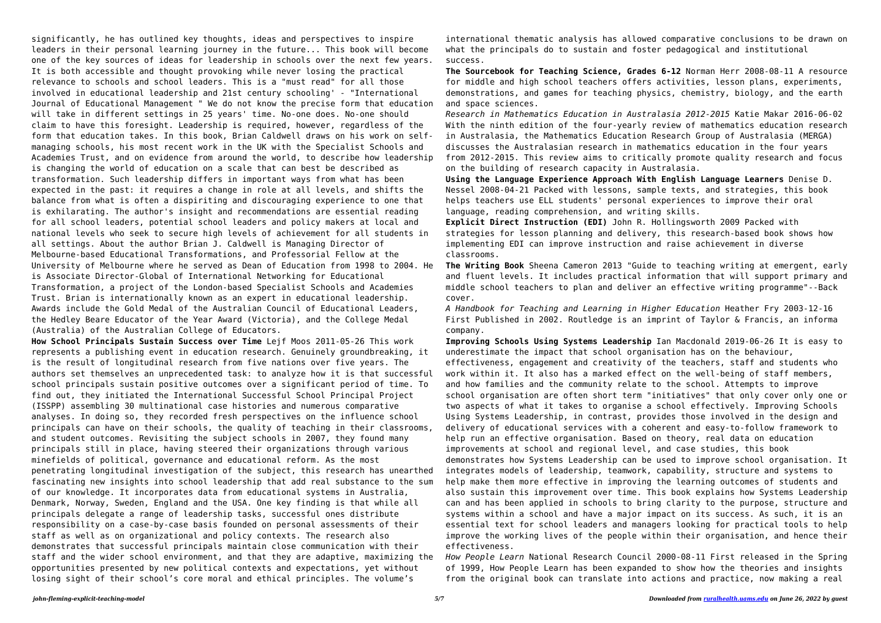significantly, he has outlined key thoughts, ideas and perspectives to inspire leaders in their personal learning journey in the future... This book will become one of the key sources of ideas for leadership in schools over the next few years. It is both accessible and thought provoking while never losing the practical relevance to schools and school leaders. This is a "must read" for all those involved in educational leadership and 21st century schooling' - "International Journal of Educational Management " We do not know the precise form that education will take in different settings in 25 years' time. No-one does. No-one should claim to have this foresight. Leadership is required, however, regardless of the form that education takes. In this book, Brian Caldwell draws on his work on selfmanaging schools, his most recent work in the UK with the Specialist Schools and Academies Trust, and on evidence from around the world, to describe how leadership is changing the world of education on a scale that can best be described as transformation. Such leadership differs in important ways from what has been expected in the past: it requires a change in role at all levels, and shifts the balance from what is often a dispiriting and discouraging experience to one that is exhilarating. The author's insight and recommendations are essential reading for all school leaders, potential school leaders and policy makers at local and national levels who seek to secure high levels of achievement for all students in all settings. About the author Brian J. Caldwell is Managing Director of Melbourne-based Educational Transformations, and Professorial Fellow at the University of Melbourne where he served as Dean of Education from 1998 to 2004. He is Associate Director-Global of International Networking for Educational Transformation, a project of the London-based Specialist Schools and Academies Trust. Brian is internationally known as an expert in educational leadership. Awards include the Gold Medal of the Australian Council of Educational Leaders, the Hedley Beare Educator of the Year Award (Victoria), and the College Medal (Australia) of the Australian College of Educators.

**How School Principals Sustain Success over Time** Lejf Moos 2011-05-26 This work represents a publishing event in education research. Genuinely groundbreaking, it is the result of longitudinal research from five nations over five years. The authors set themselves an unprecedented task: to analyze how it is that successful school principals sustain positive outcomes over a significant period of time. To find out, they initiated the International Successful School Principal Project (ISSPP) assembling 30 multinational case histories and numerous comparative analyses. In doing so, they recorded fresh perspectives on the influence school principals can have on their schools, the quality of teaching in their classrooms, and student outcomes. Revisiting the subject schools in 2007, they found many principals still in place, having steered their organizations through various minefields of political, governance and educational reform. As the most penetrating longitudinal investigation of the subject, this research has unearthed fascinating new insights into school leadership that add real substance to the sum of our knowledge. It incorporates data from educational systems in Australia, Denmark, Norway, Sweden, England and the USA. One key finding is that while all principals delegate a range of leadership tasks, successful ones distribute responsibility on a case-by-case basis founded on personal assessments of their staff as well as on organizational and policy contexts. The research also demonstrates that successful principals maintain close communication with their staff and the wider school environment, and that they are adaptive, maximizing the opportunities presented by new political contexts and expectations, yet without losing sight of their school's core moral and ethical principles. The volume's

international thematic analysis has allowed comparative conclusions to be drawn on what the principals do to sustain and foster pedagogical and institutional success.

**The Sourcebook for Teaching Science, Grades 6-12** Norman Herr 2008-08-11 A resource for middle and high school teachers offers activities, lesson plans, experiments, demonstrations, and games for teaching physics, chemistry, biology, and the earth and space sciences.

*Research in Mathematics Education in Australasia 2012-2015* Katie Makar 2016-06-02 With the ninth edition of the four-yearly review of mathematics education research in Australasia, the Mathematics Education Research Group of Australasia (MERGA) discusses the Australasian research in mathematics education in the four years from 2012-2015. This review aims to critically promote quality research and focus on the building of research capacity in Australasia. **Using the Language Experience Approach With English Language Learners** Denise D. Nessel 2008-04-21 Packed with lessons, sample texts, and strategies, this book helps teachers use ELL students' personal experiences to improve their oral language, reading comprehension, and writing skills. **Explicit Direct Instruction (EDI)** John R. Hollingsworth 2009 Packed with strategies for lesson planning and delivery, this research-based book shows how implementing EDI can improve instruction and raise achievement in diverse classrooms.

**The Writing Book** Sheena Cameron 2013 "Guide to teaching writing at emergent, early and fluent levels. It includes practical information that will support primary and middle school teachers to plan and deliver an effective writing programme"--Back cover.

*A Handbook for Teaching and Learning in Higher Education* Heather Fry 2003-12-16 First Published in 2002. Routledge is an imprint of Taylor & Francis, an informa company.

**Improving Schools Using Systems Leadership** Ian Macdonald 2019-06-26 It is easy to underestimate the impact that school organisation has on the behaviour, effectiveness, engagement and creativity of the teachers, staff and students who work within it. It also has a marked effect on the well-being of staff members, and how families and the community relate to the school. Attempts to improve school organisation are often short term "initiatives" that only cover only one or two aspects of what it takes to organise a school effectively. Improving Schools Using Systems Leadership, in contrast, provides those involved in the design and delivery of educational services with a coherent and easy-to-follow framework to help run an effective organisation. Based on theory, real data on education improvements at school and regional level, and case studies, this book demonstrates how Systems Leadership can be used to improve school organisation. It integrates models of leadership, teamwork, capability, structure and systems to help make them more effective in improving the learning outcomes of students and also sustain this improvement over time. This book explains how Systems Leadership can and has been applied in schools to bring clarity to the purpose, structure and systems within a school and have a major impact on its success. As such, it is an essential text for school leaders and managers looking for practical tools to help improve the working lives of the people within their organisation, and hence their effectiveness.

*How People Learn* National Research Council 2000-08-11 First released in the Spring of 1999, How People Learn has been expanded to show how the theories and insights from the original book can translate into actions and practice, now making a real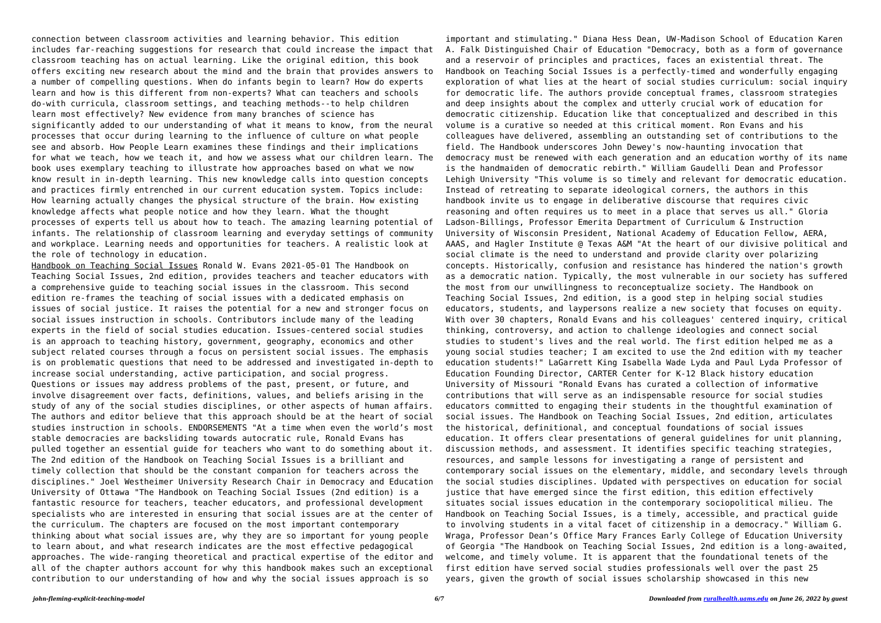connection between classroom activities and learning behavior. This edition includes far-reaching suggestions for research that could increase the impact that classroom teaching has on actual learning. Like the original edition, this book offers exciting new research about the mind and the brain that provides answers to a number of compelling questions. When do infants begin to learn? How do experts learn and how is this different from non-experts? What can teachers and schools do-with curricula, classroom settings, and teaching methods--to help children learn most effectively? New evidence from many branches of science has significantly added to our understanding of what it means to know, from the neural processes that occur during learning to the influence of culture on what people see and absorb. How People Learn examines these findings and their implications for what we teach, how we teach it, and how we assess what our children learn. The book uses exemplary teaching to illustrate how approaches based on what we now know result in in-depth learning. This new knowledge calls into question concepts and practices firmly entrenched in our current education system. Topics include: How learning actually changes the physical structure of the brain. How existing knowledge affects what people notice and how they learn. What the thought processes of experts tell us about how to teach. The amazing learning potential of infants. The relationship of classroom learning and everyday settings of community and workplace. Learning needs and opportunities for teachers. A realistic look at the role of technology in education.

Handbook on Teaching Social Issues Ronald W. Evans 2021-05-01 The Handbook on Teaching Social Issues, 2nd edition, provides teachers and teacher educators with a comprehensive guide to teaching social issues in the classroom. This second edition re-frames the teaching of social issues with a dedicated emphasis on issues of social justice. It raises the potential for a new and stronger focus on social issues instruction in schools. Contributors include many of the leading experts in the field of social studies education. Issues-centered social studies is an approach to teaching history, government, geography, economics and other subject related courses through a focus on persistent social issues. The emphasis is on problematic questions that need to be addressed and investigated in-depth to increase social understanding, active participation, and social progress. Questions or issues may address problems of the past, present, or future, and involve disagreement over facts, definitions, values, and beliefs arising in the study of any of the social studies disciplines, or other aspects of human affairs. The authors and editor believe that this approach should be at the heart of social studies instruction in schools. ENDORSEMENTS "At a time when even the world's most stable democracies are backsliding towards autocratic rule, Ronald Evans has pulled together an essential guide for teachers who want to do something about it. The 2nd edition of the Handbook on Teaching Social Issues is a brilliant and timely collection that should be the constant companion for teachers across the disciplines." Joel Westheimer University Research Chair in Democracy and Education University of Ottawa "The Handbook on Teaching Social Issues (2nd edition) is a fantastic resource for teachers, teacher educators, and professional development specialists who are interested in ensuring that social issues are at the center of the curriculum. The chapters are focused on the most important contemporary thinking about what social issues are, why they are so important for young people to learn about, and what research indicates are the most effective pedagogical approaches. The wide-ranging theoretical and practical expertise of the editor and all of the chapter authors account for why this handbook makes such an exceptional contribution to our understanding of how and why the social issues approach is so

important and stimulating." Diana Hess Dean, UW-Madison School of Education Karen

A. Falk Distinguished Chair of Education "Democracy, both as a form of governance and a reservoir of principles and practices, faces an existential threat. The Handbook on Teaching Social Issues is a perfectly-timed and wonderfully engaging exploration of what lies at the heart of social studies curriculum: social inquiry for democratic life. The authors provide conceptual frames, classroom strategies and deep insights about the complex and utterly crucial work of education for democratic citizenship. Education like that conceptualized and described in this volume is a curative so needed at this critical moment. Ron Evans and his colleagues have delivered, assembling an outstanding set of contributions to the field. The Handbook underscores John Dewey's now-haunting invocation that democracy must be renewed with each generation and an education worthy of its name is the handmaiden of democratic rebirth." William Gaudelli Dean and Professor Lehigh University "This volume is so timely and relevant for democratic education. Instead of retreating to separate ideological corners, the authors in this handbook invite us to engage in deliberative discourse that requires civic reasoning and often requires us to meet in a place that serves us all." Gloria Ladson-Billings, Professor Emerita Department of Curriculum & Instruction University of Wisconsin President, National Academy of Education Fellow, AERA, AAAS, and Hagler Institute @ Texas A&M "At the heart of our divisive political and social climate is the need to understand and provide clarity over polarizing concepts. Historically, confusion and resistance has hindered the nation's growth as a democratic nation. Typically, the most vulnerable in our society has suffered the most from our unwillingness to reconceptualize society. The Handbook on Teaching Social Issues, 2nd edition, is a good step in helping social studies educators, students, and laypersons realize a new society that focuses on equity. With over 30 chapters, Ronald Evans and his colleagues' centered inquiry, critical thinking, controversy, and action to challenge ideologies and connect social studies to student's lives and the real world. The first edition helped me as a young social studies teacher; I am excited to use the 2nd edition with my teacher education students!" LaGarrett King Isabella Wade Lyda and Paul Lyda Professor of Education Founding Director, CARTER Center for K-12 Black history education University of Missouri "Ronald Evans has curated a collection of informative contributions that will serve as an indispensable resource for social studies educators committed to engaging their students in the thoughtful examination of social issues. The Handbook on Teaching Social Issues, 2nd edition, articulates the historical, definitional, and conceptual foundations of social issues education. It offers clear presentations of general guidelines for unit planning, discussion methods, and assessment. It identifies specific teaching strategies, resources, and sample lessons for investigating a range of persistent and contemporary social issues on the elementary, middle, and secondary levels through the social studies disciplines. Updated with perspectives on education for social justice that have emerged since the first edition, this edition effectively situates social issues education in the contemporary sociopolitical milieu. The Handbook on Teaching Social Issues, is a timely, accessible, and practical guide to involving students in a vital facet of citizenship in a democracy." William G. Wraga, Professor Dean's Office Mary Frances Early College of Education University of Georgia "The Handbook on Teaching Social Issues, 2nd edition is a long-awaited, welcome, and timely volume. It is apparent that the foundational tenets of the first edition have served social studies professionals well over the past 25 years, given the growth of social issues scholarship showcased in this new